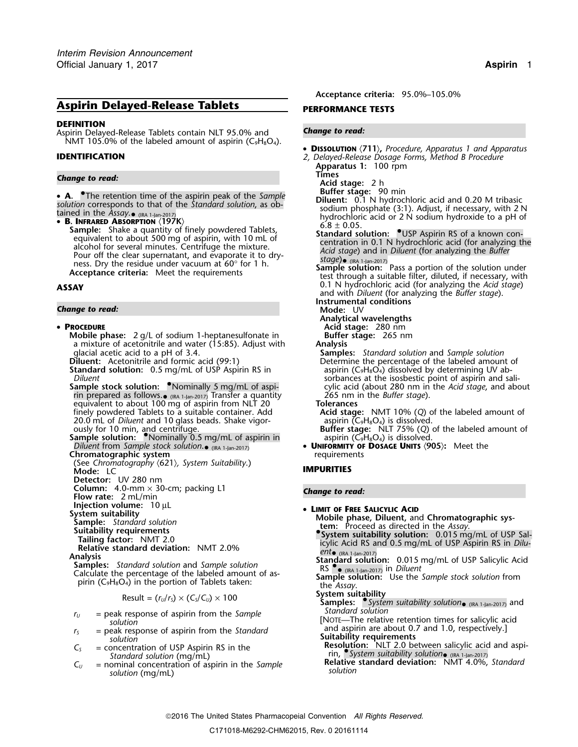## **Aspirin Delayed-Release Tablets PERFORMANCE TESTS**

### **DEFINITION**

Aspirin Delayed-Release Tablets contain NLT 95.0% and *Change to read:* NMT 105.0% of the labeled amount of aspirin ( $C_9H_8O_4$ ).

# **Times** *Change to read:* **Acid stage:** 2 h

**A.** The retention time of the aspirin peak of the *Sample*<br> **Buffer stage:** 90 min<br> **Diluent:** 0.1 N hydrochloric acid and 0.20 M tribasic

*If tion* corresponds to that of the *Standard solution*, as observed in the *Assay*.  $\bullet$  ( $\text{RA}$  1-an-2017)<br> **S. INFRARED ABSORPTION** (197K)<br> **S. INFRARED ABSORPTION** (197K)<br> **S. INFRARED ABSORPTION** (197K)<br> **S. INFRAR** Pour off the clear superflatant, and evaporate it to urg-<br>ness. Dry the residue under vacuum at 60° for 1 h.<br>**Acceptance criteria:** Meet the requirements through a suitable filter, diluted, if necessary, with

### *Change to read:* **Mode:** UV

### • **PROCEDURE PROCEDURE Acid stage:** 280 nm

- **Mobile phase:** 2 g/L of sodium 1-heptanesulfonate in **Buffer stage:** 265 nm a mixture of acetonitrile and water (15:85). Adjust with **Analysis** a mixture of acetonitrile and water (15:85). Adjust with glacial acetic acid to a pH of 3.4.
- **Standard solution:** 0.5 mg/mL of USP Aspirin RS in aspirin (C<sub>9</sub>H<sub>8</sub>O<sub>4</sub>) dissolved by determining UV ab-<br>sorbances at the isosbestic point of aspirin and sa
- **Sample stock solution:** Nominally 5 mg/mL of aspi-<br>
rin prepared as follows.  $\bullet$  (RA 1-lan-2017) Transfer a quantity 265 nm in the *Buffer stage*). rin prepared as follows.• (IRA 1-Jan-2017) Transfer a quantity 265 nm in the *Buffer stage*). equivalent to about 100 mg of aspirin from NLT 20 **Tolerances** finely powdered Tablets to a suitable container. Add **Acid stage:** NMT 10% (*Q*) of the labeled amount of 20.0 mL of *Diluent* and 10 glass beads. Shake vigor-
- **Sample solution: •**Nominally 0.5 mg/mL of aspirin in and aspirin (C<sub>9</sub>H<sub>8</sub>O<sub>4</sub>) is dissolved. *Diluent* from *Sample stock solution*. •**Chromatographic system**
- (See *Chromatography* 〈621〉*, System Suitability*.) **Mode:** LC **IMPURITIES**
- **Detector:** UV 280 nm
- **Column:** 4.0-mm × 30-cm; packing L1 *Change to read:* **Flow rate:**<sup>2</sup> mL/min
- 
- 
- 
- 
- 
- 
- 
- Calculate the percentage of the labeled amount of as-<br>pirin (C<sub>9</sub>H<sub>8</sub>O<sub>4</sub>) in the portion of Tablets taken: **Sample so**<br>the *Assay*.

$$
Result = (r_U/r_S) \times (C_S/C_U) \times 100
$$

- 
- 
- 
- 

**Acceptance criteria:** 95.0%–105.0%

- • **<sup>D</sup>ISSOLUTION** 〈**711**〉**,** *Procedure, Apparatus 1 and Apparatus* **IDENTIFICATION** *2, Delayed-Release Dosage Forms, Method B Procedure*
	- **Apparatus 1:** 100 rpm
		-

- **A.** The retention time of the aspirin peak of the *Sample*<br>solution corresponds to that of the *Standard solution*, as ob-<br>tained in the *Assay*. ((RA 1-Jan-2017)<br>• **R. INFRARED ARSORPTION** (197K)<br>• **R. INFRARED AR** 
	-
- **ASSAY** 0.1 N hydrochloric acid (for analyzing the *Acid stage*) and with *Diluent* (for analyzing the *Buffer stage*).

**Instrumental conditions**

- **Analytical wavelengths**
	-
	-

glacial acetic acid to a pH of 3.4. **Samples:** *Standard solution* and *Sample solution* Determine the percentage of the labeled amount of sorbances at the isosbestic point of aspirin and sali-<br>cylic acid (about 280 nm in the *Acid stage*, and about

**Buffer stage:** NLT 75% (Q) of the labeled amount of aspirin ( $C_9H_8O_4$ ) is dissolved.

**UNIFORMITY OF DOSAGE UNITS**  $\langle 905 \rangle$ **:** Meet the requirements

**Injection volume:** 10 µL<br>System suitability **ID ID CONSECUTE:** The **ID EXECUTE: I CONSECUTE: ID Mobile phase Diluent** and

System suitability<br>
Sample: Standard solution<br>
Suitability requirements<br>
Tailing factor: NMT 2.0<br>
Tailing factor: NMT 2.0<br>
Tailing factor: NMT 2.0<br>
Tailing factor: NMT 2.0

- **. System Suitably solution:** NMT 2.0% **Tailing factor:** NMT 2.0% *ent•* (RS and 0.5 mg/mL of USP Aspirin RS in *Dilu- ent•* (RS and 0.5 mg/mL of USP Aspirin RS in *Dilu- ent•* (RS and 2017) *ent•* (RS and 2017) *e*
- (IRA 1-Jan-2017) **Analysis Standard solution:** 0.015 mg/mL of USP Salicylic Acid **Samples:** *Standard solution* and *Sample solution* RS •. RS  $\bullet$  (IRA 1-Jan-2017) in *Diluent*<br>**Sample solution:** Use the *Sample stock solution* from

- **System suitability** Result = (*<sup>r</sup>U*/*<sup>r</sup>S*) × (*CS*/*CU*) ×<sup>100</sup> **Samples:** •.*System suitability solution* (IRA 1-Jan-2017) and
- $r_y$  = peak response of aspirin from the *Sample*<br>
solution<br>  $r_s$  = peak response of aspirin from the *Standard*<br>
solution<br>  $r_s$  = concentration of USP Aspirin RS in the<br>  $r_s$  = concentration of USP Aspirin RS in the<br>  $r_s$
- $C_5$  = concentration of USP Aspirin RS in the<br>
Standard solution (mg/mL)<br>  $C_U$  = nominal concentration of aspirin in the *Sample*<br>
solution (mg/mL)<br>  $C_U$  = nominal concentration of aspirin in the *Sample*<br>
solution (mg/m